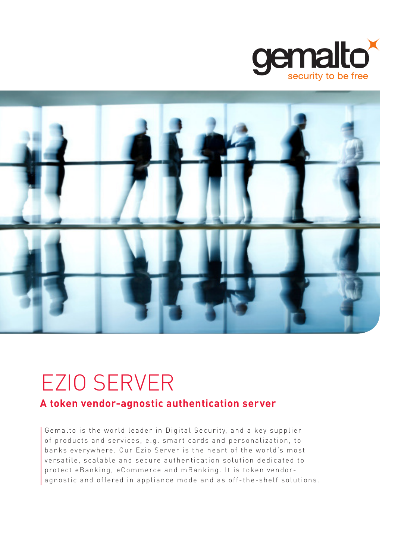



# EZIO SERVER

# **A token vendor-agnostic authentication server**

Gemalto is the world leader in Digital Security, and a key supplier of products and services, e.g. smart cards and personalization, to banks everywhere. Our Ezio Server is the heart of the world's most versatile, scalable and secure authentication solution dedicated to protect eBanking, eCommerce and mBanking. It is token vendoragnostic and offered in appliance mode and as off-the-shelf solutions.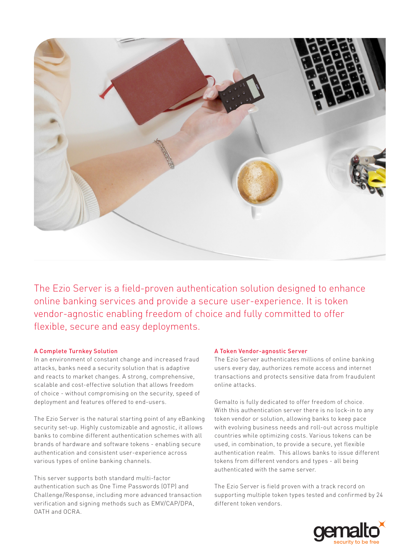

The Ezio Server is a field-proven authentication solution designed to enhance online banking services and provide a secure user-experience. It is token vendor-agnostic enabling freedom of choice and fully committed to offer flexible, secure and easy deployments.

# A Complete Turnkey Solution

In an environment of constant change and increased fraud attacks, banks need a security solution that is adaptive and reacts to market changes. A strong, comprehensive, scalable and cost-effective solution that allows freedom of choice - without compromising on the security, speed of deployment and features offered to end-users.

The Ezio Server is the natural starting point of any eBanking security set-up. Highly customizable and agnostic, it allows banks to combine different authentication schemes with all brands of hardware and software tokens - enabling secure authentication and consistent user-experience across various types of online banking channels.

This server supports both standard multi-factor authentication such as One Time Passwords (OTP) and Challenge/Response, including more advanced transaction verification and signing methods such as EMV/CAP/DPA, OATH and OCRA.

# A Token Vendor-agnostic Server

The Ezio Server authenticates millions of online banking users every day, authorizes remote access and internet transactions and protects sensitive data from fraudulent online attacks.

Gemalto is fully dedicated to offer freedom of choice. With this authentication server there is no lock-in to any token vendor or solution, allowing banks to keep pace with evolving business needs and roll-out across multiple countries while optimizing costs. Various tokens can be used, in combination, to provide a secure, yet flexible authentication realm. This allows banks to issue different tokens from different vendors and types - all being authenticated with the same server.

The Ezio Server is field proven with a track record on supporting multiple token types tested and confirmed by 24 different token vendors.

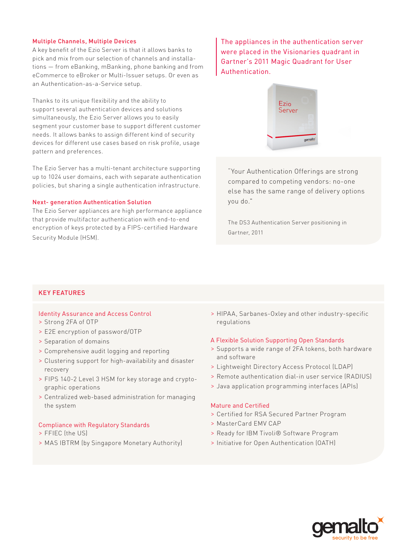# Multiple Channels, Multiple Devices

A key benefit of the Ezio Server is that it allows banks to pick and mix from our selection of channels and installations — from eBanking, mBanking, phone banking and from eCommerce to eBroker or Multi-Issuer setups. Or even as an Authentication-as-a-Service setup.

Thanks to its unique flexibility and the ability to support several authentication devices and solutions simultaneously, the Ezio Server allows you to easily segment your customer base to support different customer needs. It allows banks to assign different kind of security devices for different use cases based on risk profile, usage pattern and preferences.

The Ezio Server has a multi-tenant architecture supporting up to 1024 user domains, each with separate authentication policies, but sharing a single authentication infrastructure.

## Next- generation Authentication Solution

The Ezio Server appliances are high performance appliance that provide multifactor authentication with end-to-end encryption of keys protected by a FIPS-certified Hardware Security Module (HSM).

The appliances in the authentication server were placed in the Visionaries quadrant in Gartner's 2011 Magic Quadrant for User Authentication.



"Your Authentication Offerings are strong compared to competing vendors: no-one else has the same range of delivery options you do."

The DS3 Authentication Server positioning in Gartner, 2011

# KEY FEATURES

# Identity Assurance and Access Control

- > Strong 2FA of OTP
- > E2E encryption of password/OTP
- > Separation of domains
- > Comprehensive audit logging and reporting
- > Clustering support for high-availability and disaster recovery
- > FIPS 140-2 Level 3 HSM for key storage and cryptographic operations
- > Centralized web-based administration for managing the system

## Compliance with Regulatory Standards

- > FFIEC (the US)
- > MAS IBTRM (by Singapore Monetary Authority)

> HIPAA, Sarbanes-Oxley and other industry-specific regulations

#### A Flexible Solution Supporting Open Standards

- > Supports a wide range of 2FA tokens, both hardware and software
- > Lightweight Directory Access Protocol (LDAP)
- > Remote authentication dial-in user service (RADIUS)
- > Java application programming interfaces (APIs)

# Mature and Certified

- > Certified for RSA Secured Partner Program
- > MasterCard EMV CAP
- > Ready for IBM Tivoli® Software Program
- > Initiative for Open Authentication (OATH)